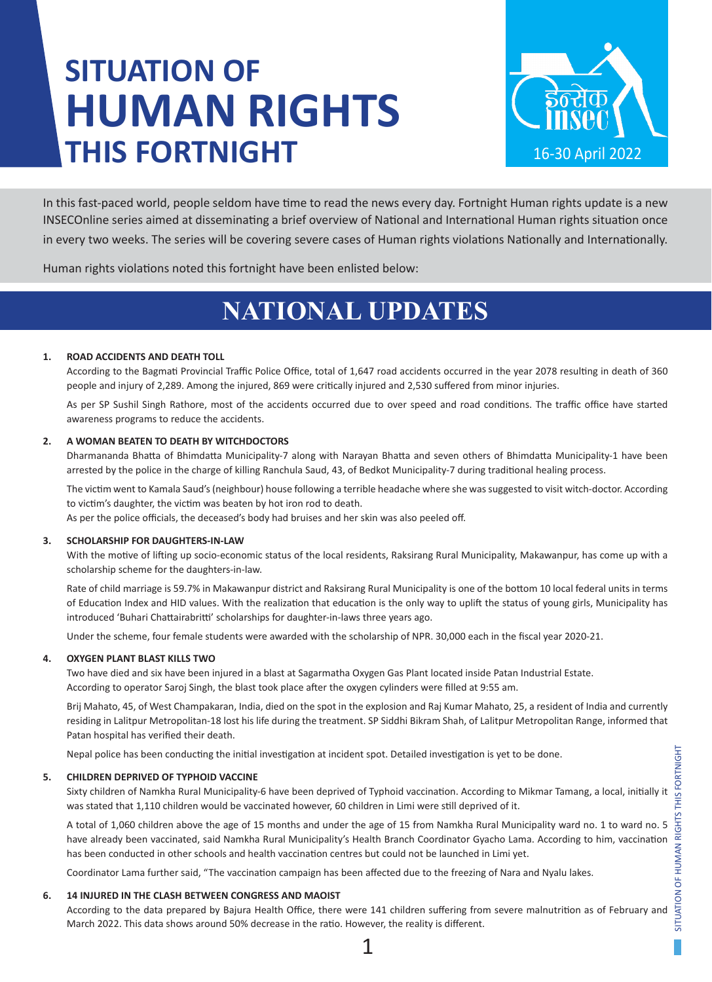# **SITUATION OF HUMAN RIGHTS THIS FORTNIGHT**



In this fast-paced world, people seldom have time to read the news every day. Fortnight Human rights update is a new INSECOnline series aimed at disseminating a brief overview of National and International Human rights situation once in every two weeks. The series will be covering severe cases of Human rights violations Nationally and Internationally.

Human rights violations noted this fortnight have been enlisted below:

# **NATIONAL UPDATES**

# **1. ROAD ACCIDENTS AND DEATH TOLL**

According to the Bagmati Provincial Traffic Police Office, total of 1,647 road accidents occurred in the year 2078 resulting in death of 360 people and injury of 2,289. Among the injured, 869 were critically injured and 2,530 suffered from minor injuries.

As per SP Sushil Singh Rathore, most of the accidents occurred due to over speed and road conditions. The traffic office have started awareness programs to reduce the accidents.

### **2. A WOMAN BEATEN TO DEATH BY WITCHDOCTORS**

Dharmananda Bhatta of Bhimdatta Municipality-7 along with Narayan Bhatta and seven others of Bhimdatta Municipality-1 have been arrested by the police in the charge of killing Ranchula Saud, 43, of Bedkot Municipality-7 during traditional healing process.

The victim went to Kamala Saud's (neighbour) house following a terrible headache where she was suggested to visit witch-doctor. According to victim's daughter, the victim was beaten by hot iron rod to death.

As per the police officials, the deceased's body had bruises and her skin was also peeled off.

### **3. SCHOLARSHIP FOR DAUGHTERS-IN-LAW**

With the motive of lifting up socio-economic status of the local residents, Raksirang Rural Municipality, Makawanpur, has come up with a scholarship scheme for the daughters-in-law.

Rate of child marriage is 59.7% in Makawanpur district and Raksirang Rural Municipality is one of the bottom 10 local federal units in terms of Education Index and HID values. With the realization that education is the only way to uplift the status of young girls, Municipality has introduced 'Buhari Chattairabritti' scholarships for daughter-in-laws three years ago.

Under the scheme, four female students were awarded with the scholarship of NPR. 30,000 each in the fiscal year 2020-21.

### **4. OXYGEN PLANT BLAST KILLS TWO**

Two have died and six have been injured in a blast at Sagarmatha Oxygen Gas Plant located inside Patan Industrial Estate. According to operator Saroj Singh, the blast took place after the oxygen cylinders were filled at 9:55 am.

Brij Mahato, 45, of West Champakaran, India, died on the spot in the explosion and Raj Kumar Mahato, 25, a resident of India and currently residing in Lalitpur Metropolitan-18 lost his life during the treatment. SP Siddhi Bikram Shah, of Lalitpur Metropolitan Range, informed that Patan hospital has verified their death.

Nepal police has been conducting the initial investigation at incident spot. Detailed investigation is yet to be done.

### **5. CHILDREN DEPRIVED OF TYPHOID VACCINE**

Sixty children of Namkha Rural Municipality-6 have been deprived of Typhoid vaccination. According to Mikmar Tamang, a local, initially it was stated that 1,110 children would be vaccinated however, 60 children in Limi were still deprived of it.

A total of 1,060 children above the age of 15 months and under the age of 15 from Namkha Rural Municipality ward no. 1 to ward no. 5 have already been vaccinated, said Namkha Rural Municipality's Health Branch Coordinator Gyacho Lama. According to him, vaccination has been conducted in other schools and health vaccination centres but could not be launched in Limi yet.

Coordinator Lama further said, "The vaccination campaign has been affected due to the freezing of Nara and Nyalu lakes.

### **6. 14 INJURED IN THE CLASH BETWEEN CONGRESS AND MAOIST**

According to the data prepared by Bajura Health Office, there were 141 children suffering from severe malnutrition as of February and March 2022. This data shows around 50% decrease in the ratio. However, the reality is different.